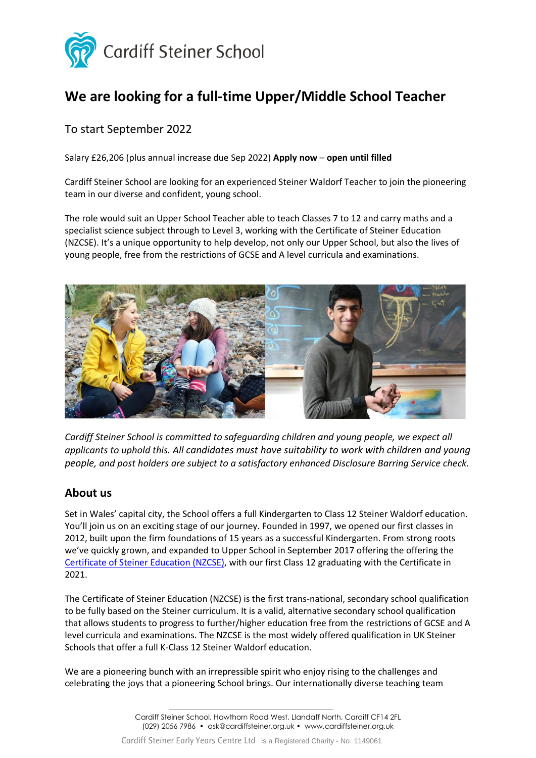

# **We are looking for a full-time Upper/Middle School Teacher**

# To start September 2022

Salary £26,206 (plus annual increase due Sep 2022) **Apply now** – **open until filled**

Cardiff Steiner School are looking for an experienced Steiner Waldorf Teacher to join the pioneering team in our diverse and confident, young school.

The role would suit an Upper School Teacher able to teach Classes 7 to 12 and carry maths and a specialist science subject through to Level 3, working with the Certificate of Steiner Education (NZCSE). It's a unique opportunity to help develop, not only our Upper School, but also the lives of young people, free from the restrictions of GCSE and A level curricula and examinations.



*Cardiff Steiner School is committed to safeguarding children and young people, we expect all applicants to uphold this. All candidates must have suitability to work with children and young people, and post holders are subject to a satisfactory enhanced Disclosure Barring Service check.*

## **About us**

Set in Wales' capital city, the School offers a full Kindergarten to Class 12 Steiner Waldorf education. You'll join us on an exciting stage of our journey. Founded in 1997, we opened our first classes in 2012, built upon the firm foundations of 15 years as a successful Kindergarten. From strong roots we've quickly grown, and expanded to Upper School in September 2017 offering the offering the [Certificate of Steiner Education \(NZCSE\),](http://www.cardiffsteiner.org.uk/education/upper-school/certificate-of-steiner-education/) with our first Class 12 graduating with the Certificate in 2021.

The Certificate of Steiner Education (NZCSE) is the first trans-national, secondary school qualification to be fully based on the Steiner curriculum. It is a valid, alternative secondary school qualification that allows students to progress to further/higher education free from the restrictions of GCSE and A level curricula and examinations. The NZCSE is the most widely offered qualification in UK Steiner Schools that offer a full K-Class 12 Steiner Waldorf education.

We are a pioneering bunch with an irrepressible spirit who enjoy rising to the challenges and celebrating the joys that a pioneering School brings. Our internationally diverse teaching team

Cardiff Steiner School, Hawthorn Road West, Llandaff North, Cardiff CF14 2FL (029) 2056 7986 • ask@cardiffsteiner.org.uk • www.cardiffsteiner.org.uk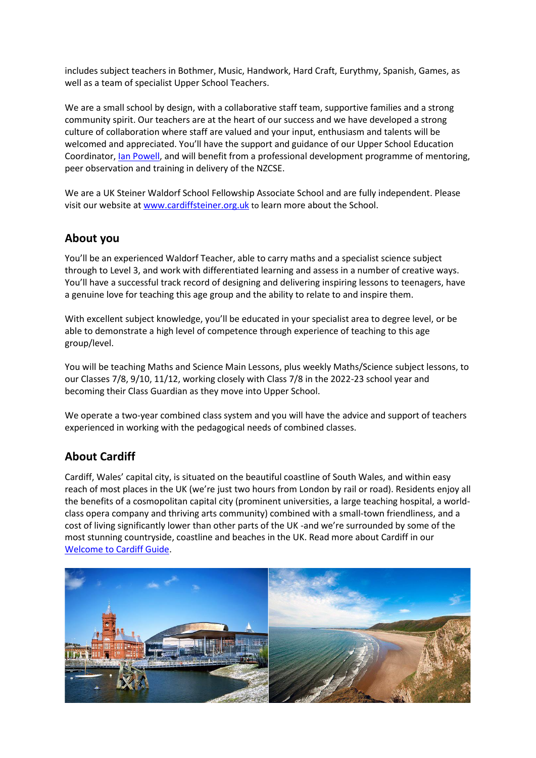includes subject teachers in Bothmer, Music, Handwork, Hard Craft, Eurythmy, Spanish, Games, as well as a team of specialist Upper School Teachers.

We are a small school by design, with a collaborative staff team, supportive families and a strong community spirit. Our teachers are at the heart of our success and we have developed a strong culture of collaboration where staff are valued and your input, enthusiasm and talents will be welcomed and appreciated. You'll have the support and guidance of our Upper School Education Coordinator, [Ian Powell,](https://www.cardiffsteiner.org.uk/portfolio-item/ian-powell/) and will benefit from a professional development programme of mentoring, peer observation and training in delivery of the NZCSE.

We are a UK Steiner Waldorf School Fellowship Associate School and are fully independent. Please visit our website a[t www.cardiffsteiner.org.uk](http://www.cardiffsteiner.org.uk/) to learn more about the School.

## **About you**

You'll be an experienced Waldorf Teacher, able to carry maths and a specialist science subject through to Level 3, and work with differentiated learning and assess in a number of creative ways. You'll have a successful track record of designing and delivering inspiring lessons to teenagers, have a genuine love for teaching this age group and the ability to relate to and inspire them.

With excellent subject knowledge, you'll be educated in your specialist area to degree level, or be able to demonstrate a high level of competence through experience of teaching to this age group/level.

You will be teaching Maths and Science Main Lessons, plus weekly Maths/Science subject lessons, to our Classes 7/8, 9/10, 11/12, working closely with Class 7/8 in the 2022-23 school year and becoming their Class Guardian as they move into Upper School.

We operate a two-year combined class system and you will have the advice and support of teachers experienced in working with the pedagogical needs of combined classes.

# **About Cardiff**

Cardiff, Wales' capital city, is situated on the beautiful coastline of South Wales, and within easy reach of most places in the UK (we're just two hours from London by rail or road). Residents enjoy all the benefits of a cosmopolitan capital city (prominent universities, a large teaching hospital, a worldclass opera company and thriving arts community) combined with a small-town friendliness, and a cost of living significantly lower than other parts of the UK -and we're surrounded by some of the most stunning countryside, coastline and beaches in the UK. Read more about Cardiff in our [Welcome to Cardiff Guide.](https://www.cardiffsteiner.org.uk/wp-content/uploads/2021/03/Cardiff-An-introduction-smaller-size.pdf)

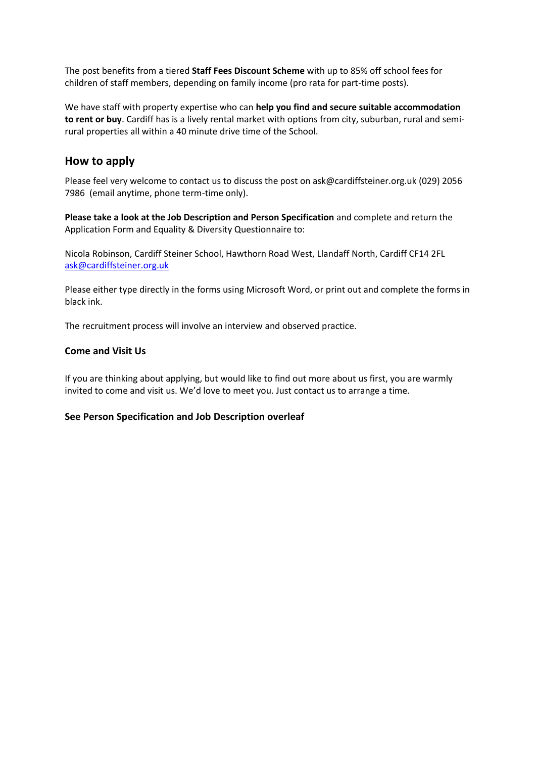The post benefits from a tiered **Staff Fees Discount Scheme** with up to 85% off school fees for children of staff members, depending on family income (pro rata for part-time posts).

We have staff with property expertise who can **help you find and secure suitable accommodation to rent or buy**. Cardiff has is a lively rental market with options from city, suburban, rural and semirural properties all within a 40 minute drive time of the School.

## **How to apply**

Please feel very welcome to contact us to discuss the post on ask@cardiffsteiner.org.uk (029) 2056 7986 (email anytime, phone term-time only).

**Please take a look at the Job Description and Person Specification** and complete and return the Application Form and Equality & Diversity Questionnaire to:

Nicola Robinson, Cardiff Steiner School, Hawthorn Road West, Llandaff North, Cardiff CF14 2FL [ask@cardiffsteiner.org.uk](mailto:ask@cardiffsteiner.org.uk)

Please either type directly in the forms using Microsoft Word, or print out and complete the forms in black ink.

The recruitment process will involve an interview and observed practice.

#### **Come and Visit Us**

If you are thinking about applying, but would like to find out more about us first, you are warmly invited to come and visit us. We'd love to meet you. Just contact us to arrange a time.

#### **See Person Specification and Job Description overleaf**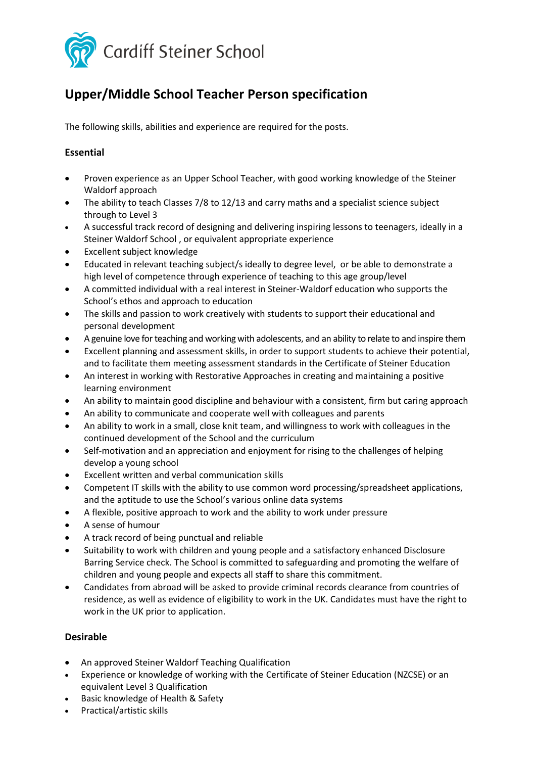

# **Upper/Middle School Teacher Person specification**

The following skills, abilities and experience are required for the posts.

## **Essential**

- Proven experience as an Upper School Teacher, with good working knowledge of the Steiner Waldorf approach
- The ability to teach Classes 7/8 to 12/13 and carry maths and a specialist science subject through to Level 3
- A successful track record of designing and delivering inspiring lessons to teenagers, ideally in a Steiner Waldorf School , or equivalent appropriate experience
- Excellent subject knowledge
- Educated in relevant teaching subject/s ideally to degree level, or be able to demonstrate a high level of competence through experience of teaching to this age group/level
- A committed individual with a real interest in Steiner-Waldorf education who supports the School's ethos and approach to education
- The skills and passion to work creatively with students to support their educational and personal development
- A genuine love for teaching and working with adolescents, and an ability to relate to and inspire them
- Excellent planning and assessment skills, in order to support students to achieve their potential, and to facilitate them meeting assessment standards in the Certificate of Steiner Education
- An interest in working with Restorative Approaches in creating and maintaining a positive learning environment
- An ability to maintain good discipline and behaviour with a consistent, firm but caring approach
- An ability to communicate and cooperate well with colleagues and parents
- An ability to work in a small, close knit team, and willingness to work with colleagues in the continued development of the School and the curriculum
- Self-motivation and an appreciation and enjoyment for rising to the challenges of helping develop a young school
- Excellent written and verbal communication skills
- Competent IT skills with the ability to use common word processing/spreadsheet applications, and the aptitude to use the School's various online data systems
- A flexible, positive approach to work and the ability to work under pressure
- A sense of humour
- A track record of being punctual and reliable
- Suitability to work with children and young people and a satisfactory enhanced Disclosure Barring Service check. The School is committed to safeguarding and promoting the welfare of children and young people and expects all staff to share this commitment.
- Candidates from abroad will be asked to provide criminal records clearance from countries of residence, as well as evidence of eligibility to work in the UK. Candidates must have the right to work in the UK prior to application.

### **Desirable**

- An approved Steiner Waldorf Teaching Qualification
- Experience or knowledge of working with the Certificate of Steiner Education (NZCSE) or an equivalent Level 3 Qualification
- Basic knowledge of Health & Safety
- Practical/artistic skills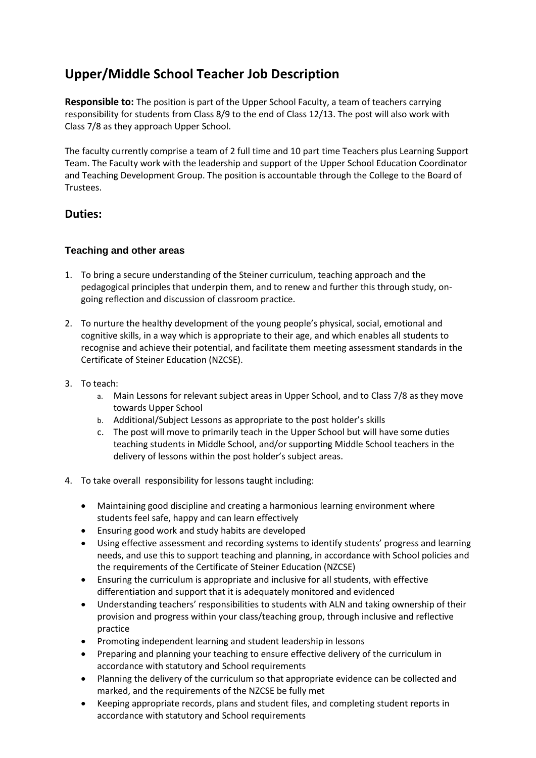# **Upper/Middle School Teacher Job Description**

**Responsible to:** The position is part of the Upper School Faculty, a team of teachers carrying responsibility for students from Class 8/9 to the end of Class 12/13. The post will also work with Class 7/8 as they approach Upper School.

The faculty currently comprise a team of 2 full time and 10 part time Teachers plus Learning Support Team. The Faculty work with the leadership and support of the Upper School Education Coordinator and Teaching Development Group. The position is accountable through the College to the Board of Trustees.

# **Duties:**

### **Teaching and other areas**

- 1. To bring a secure understanding of the Steiner curriculum, teaching approach and the pedagogical principles that underpin them, and to renew and further this through study, ongoing reflection and discussion of classroom practice.
- 2. To nurture the healthy development of the young people's physical, social, emotional and cognitive skills, in a way which is appropriate to their age, and which enables all students to recognise and achieve their potential, and facilitate them meeting assessment standards in the Certificate of Steiner Education (NZCSE).
- 3. To teach:
	- a. Main Lessons for relevant subject areas in Upper School, and to Class 7/8 as they move towards Upper School
	- b. Additional/Subject Lessons as appropriate to the post holder's skills
	- c. The post will move to primarily teach in the Upper School but will have some duties teaching students in Middle School, and/or supporting Middle School teachers in the delivery of lessons within the post holder's subject areas.
- 4. To take overall responsibility for lessons taught including:
	- Maintaining good discipline and creating a harmonious learning environment where students feel safe, happy and can learn effectively
	- Ensuring good work and study habits are developed
	- Using effective assessment and recording systems to identify students' progress and learning needs, and use this to support teaching and planning, in accordance with School policies and the requirements of the Certificate of Steiner Education (NZCSE)
	- Ensuring the curriculum is appropriate and inclusive for all students, with effective differentiation and support that it is adequately monitored and evidenced
	- Understanding teachers' responsibilities to students with ALN and taking ownership of their provision and progress within your class/teaching group, through inclusive and reflective practice
	- Promoting independent learning and student leadership in lessons
	- Preparing and planning your teaching to ensure effective delivery of the curriculum in accordance with statutory and School requirements
	- Planning the delivery of the curriculum so that appropriate evidence can be collected and marked, and the requirements of the NZCSE be fully met
	- Keeping appropriate records, plans and student files, and completing student reports in accordance with statutory and School requirements